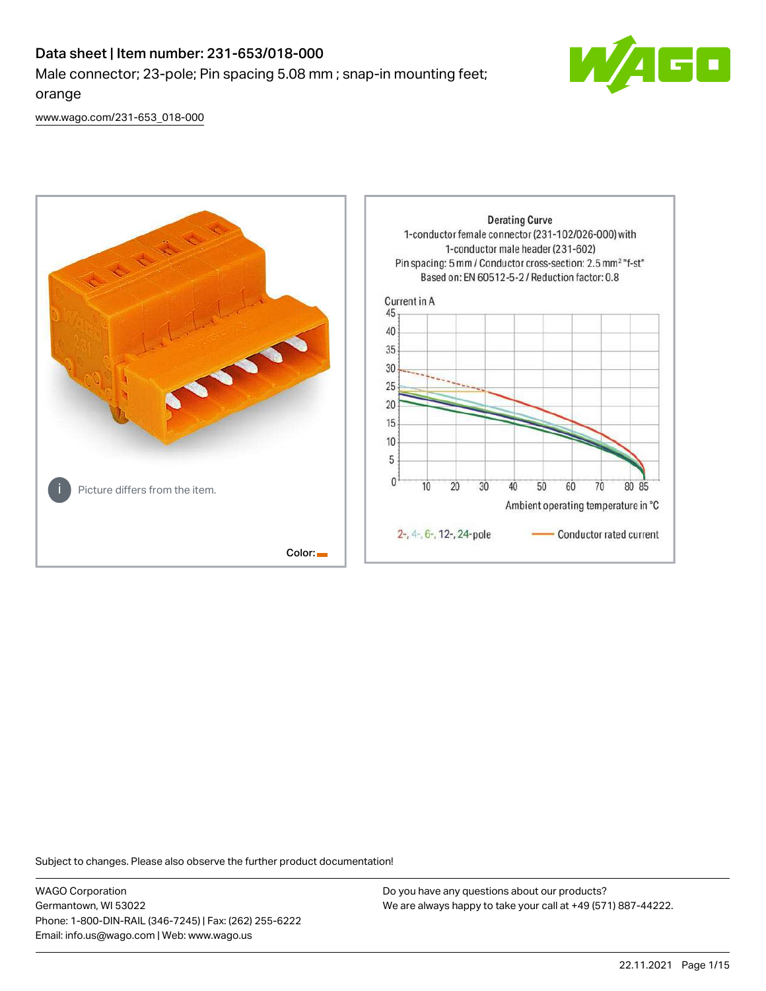# Data sheet | Item number: 231-653/018-000 Male connector; 23-pole; Pin spacing 5.08 mm ; snap-in mounting feet; orange



[www.wago.com/231-653\\_018-000](http://www.wago.com/231-653_018-000)



Subject to changes. Please also observe the further product documentation!

WAGO Corporation Germantown, WI 53022 Phone: 1-800-DIN-RAIL (346-7245) | Fax: (262) 255-6222 Email: info.us@wago.com | Web: www.wago.us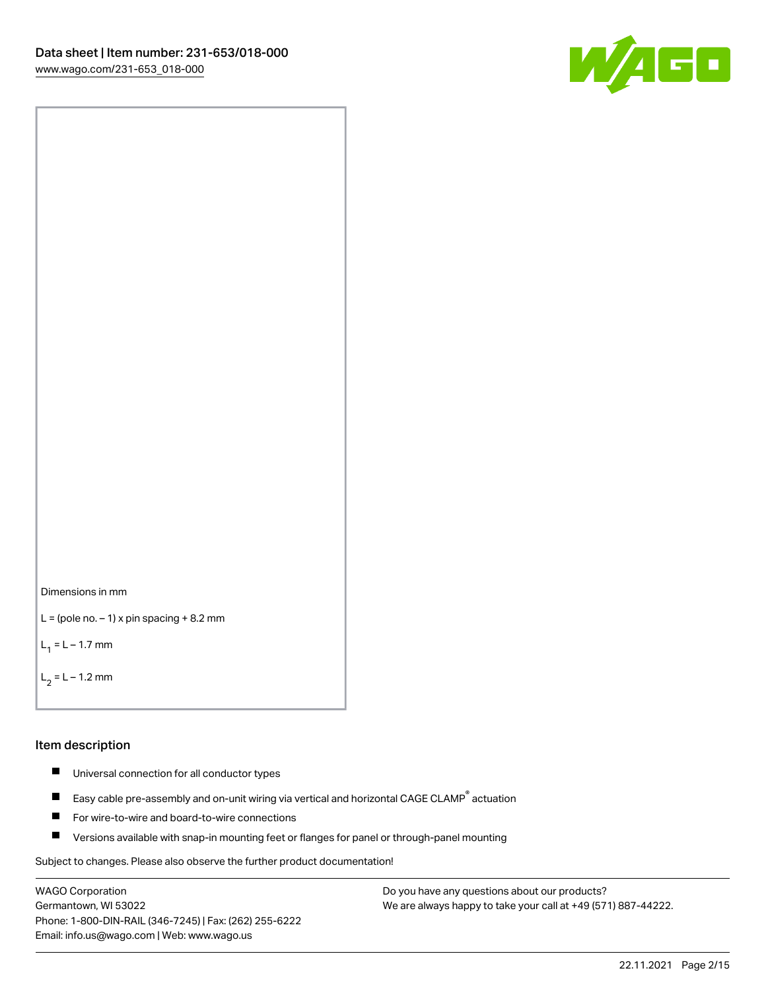



```
L = (pole no. -1) x pin spacing +8.2 mm
```
 $L_1 = L - 1.7$  mm

 $L_2 = L - 1.2$  mm

#### Item description

- $\blacksquare$ Universal connection for all conductor types
- Easy cable pre-assembly and on-unit wiring via vertical and horizontal CAGE CLAMP<sup>®</sup> actuation  $\blacksquare$
- $\blacksquare$ For wire-to-wire and board-to-wire connections
- $\blacksquare$ Versions available with snap-in mounting feet or flanges for panel or through-panel mounting

Subject to changes. Please also observe the further product documentation!

WAGO Corporation Germantown, WI 53022 Phone: 1-800-DIN-RAIL (346-7245) | Fax: (262) 255-6222 Email: info.us@wago.com | Web: www.wago.us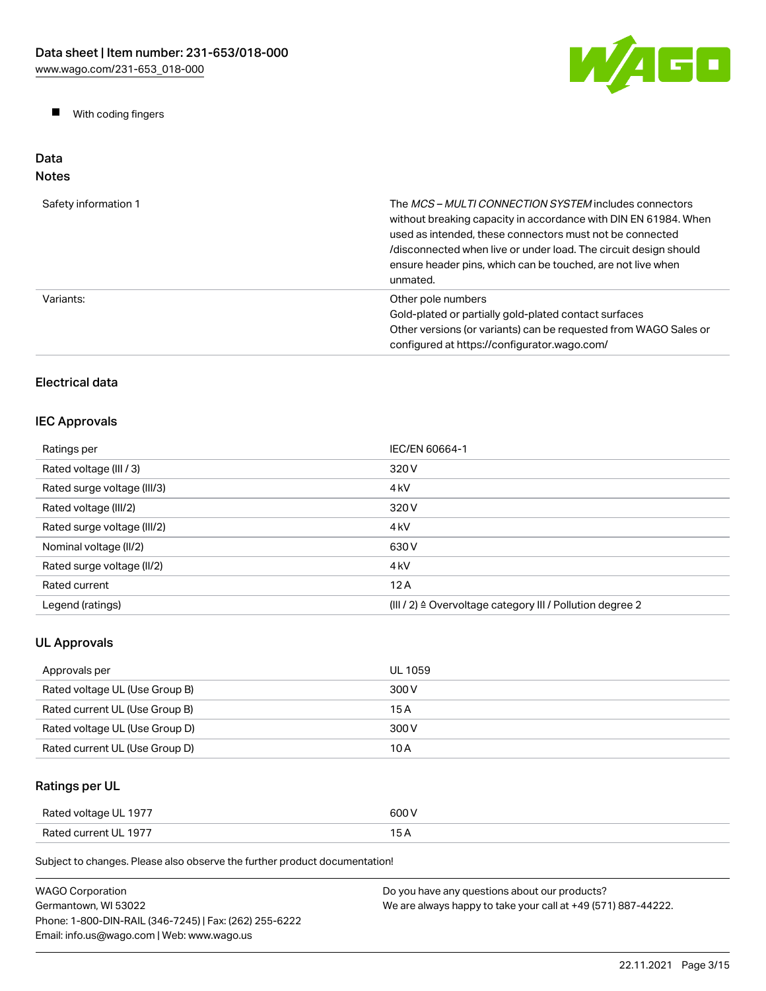W/AGO

 $\blacksquare$ With coding fingers

#### Data Notes

| Safety information 1 | The <i>MCS - MULTI CONNECTION SYSTEM</i> includes connectors<br>without breaking capacity in accordance with DIN EN 61984. When<br>used as intended, these connectors must not be connected<br>/disconnected when live or under load. The circuit design should<br>ensure header pins, which can be touched, are not live when<br>unmated. |
|----------------------|--------------------------------------------------------------------------------------------------------------------------------------------------------------------------------------------------------------------------------------------------------------------------------------------------------------------------------------------|
| Variants:            | Other pole numbers<br>Gold-plated or partially gold-plated contact surfaces<br>Other versions (or variants) can be requested from WAGO Sales or<br>configured at https://configurator.wago.com/                                                                                                                                            |

# Electrical data

# IEC Approvals

| Ratings per                 | IEC/EN 60664-1                                                       |
|-----------------------------|----------------------------------------------------------------------|
| Rated voltage (III / 3)     | 320 V                                                                |
| Rated surge voltage (III/3) | 4 <sub>k</sub> V                                                     |
| Rated voltage (III/2)       | 320 V                                                                |
| Rated surge voltage (III/2) | 4 <sub>k</sub> V                                                     |
| Nominal voltage (II/2)      | 630 V                                                                |
| Rated surge voltage (II/2)  | 4 <sub>k</sub> V                                                     |
| Rated current               | 12A                                                                  |
| Legend (ratings)            | (III / 2) $\triangleq$ Overvoltage category III / Pollution degree 2 |

# UL Approvals

| Approvals per                  | UL 1059 |
|--------------------------------|---------|
| Rated voltage UL (Use Group B) | 300 V   |
| Rated current UL (Use Group B) | 15 A    |
| Rated voltage UL (Use Group D) | 300 V   |
| Rated current UL (Use Group D) | 10 A    |

# Ratings per UL

| Rated voltage UL 1977 | 600 V |
|-----------------------|-------|
| Rated current UL 1977 | . .   |

| <b>WAGO Corporation</b>                                | Do you have any questions about our products?                 |
|--------------------------------------------------------|---------------------------------------------------------------|
| Germantown. WI 53022                                   | We are always happy to take your call at +49 (571) 887-44222. |
| Phone: 1-800-DIN-RAIL (346-7245)   Fax: (262) 255-6222 |                                                               |
| Email: info.us@wago.com   Web: www.wago.us             |                                                               |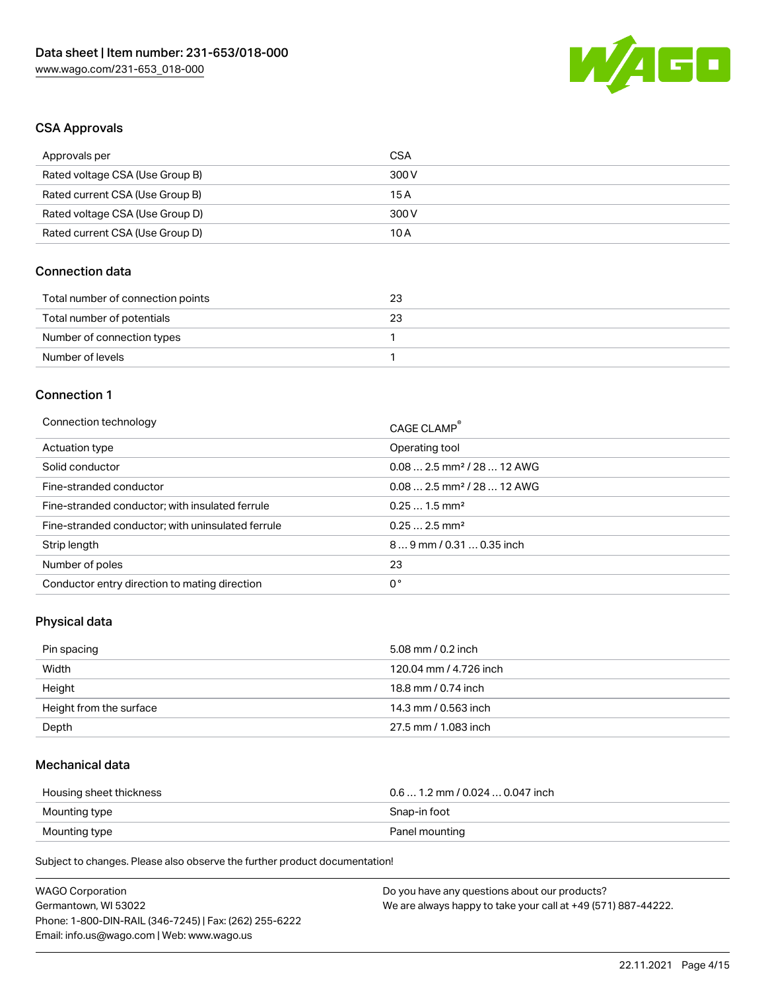

### CSA Approvals

| Approvals per                   | CSA   |
|---------------------------------|-------|
| Rated voltage CSA (Use Group B) | 300 V |
| Rated current CSA (Use Group B) | 15A   |
| Rated voltage CSA (Use Group D) | 300 V |
| Rated current CSA (Use Group D) | 10 A  |

#### Connection data

| Total number of connection points | 23 |
|-----------------------------------|----|
| Total number of potentials        | 23 |
| Number of connection types        |    |
| Number of levels                  |    |

#### Connection 1

| Connection technology                             | CAGE CLAMP <sup>®</sup>                |
|---------------------------------------------------|----------------------------------------|
| Actuation type                                    | Operating tool                         |
| Solid conductor                                   | $0.082.5$ mm <sup>2</sup> / 28  12 AWG |
| Fine-stranded conductor                           | $0.082.5$ mm <sup>2</sup> / 28  12 AWG |
| Fine-stranded conductor; with insulated ferrule   | $0.251.5$ mm <sup>2</sup>              |
| Fine-stranded conductor; with uninsulated ferrule | $0.252.5$ mm <sup>2</sup>              |
| Strip length                                      | $89$ mm / 0.31  0.35 inch              |
| Number of poles                                   | 23                                     |
| Conductor entry direction to mating direction     | 0°                                     |

#### Physical data

| Pin spacing             | 5.08 mm / 0.2 inch     |
|-------------------------|------------------------|
| Width                   | 120.04 mm / 4.726 inch |
| Height                  | 18.8 mm / 0.74 inch    |
| Height from the surface | 14.3 mm / 0.563 inch   |
| Depth                   | 27.5 mm / 1.083 inch   |

# Mechanical data

| Housing sheet thickness | $0.6$ 1.2 mm / 0.024 $$ 0.047 inch |
|-------------------------|------------------------------------|
| Mounting type           | Snap-in foot                       |
| Mounting type           | Panel mounting                     |

| <b>WAGO Corporation</b>                                | Do you have any questions about our products?                 |
|--------------------------------------------------------|---------------------------------------------------------------|
| Germantown, WI 53022                                   | We are always happy to take your call at +49 (571) 887-44222. |
| Phone: 1-800-DIN-RAIL (346-7245)   Fax: (262) 255-6222 |                                                               |
| Email: info.us@wago.com   Web: www.wago.us             |                                                               |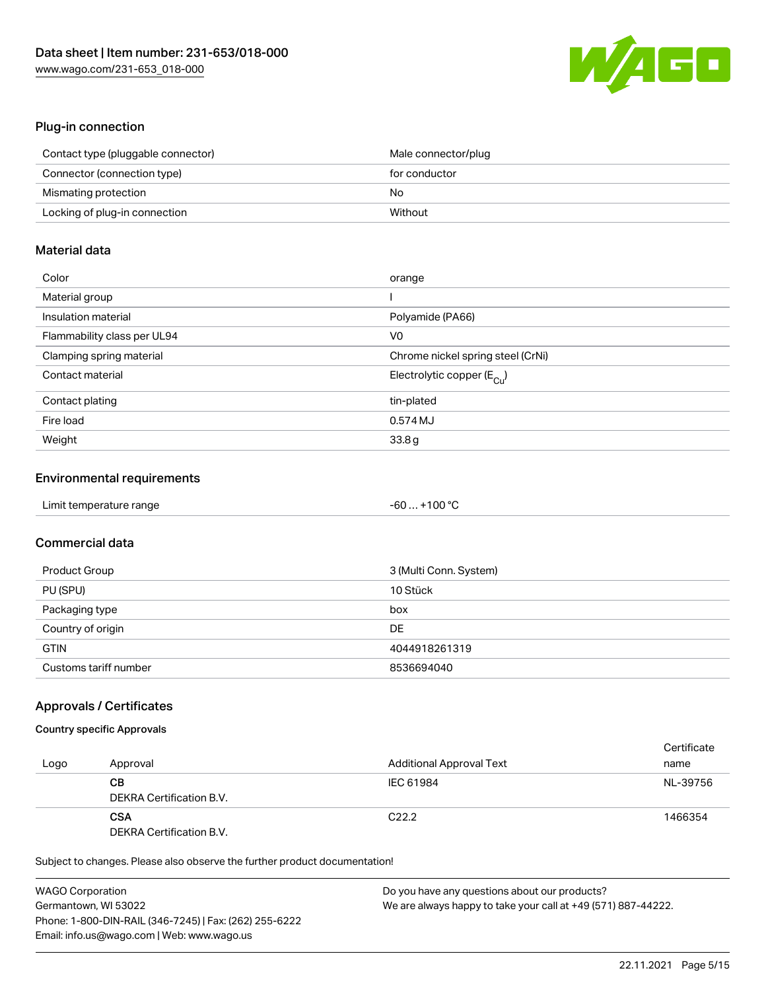

#### Plug-in connection

| Contact type (pluggable connector) | Male connector/plug |
|------------------------------------|---------------------|
| Connector (connection type)        | for conductor       |
| Mismating protection               | No                  |
| Locking of plug-in connection      | Without             |

# Material data

| Color                       | orange                                |
|-----------------------------|---------------------------------------|
| Material group              |                                       |
| Insulation material         | Polyamide (PA66)                      |
| Flammability class per UL94 | V0                                    |
| Clamping spring material    | Chrome nickel spring steel (CrNi)     |
| Contact material            | Electrolytic copper $(E_{\text{Cl}})$ |
| Contact plating             | tin-plated                            |
| Fire load                   | 0.574 MJ                              |
| Weight                      | 33.8g                                 |

#### Environmental requirements

| Limit temperature range | -60  +100 °C |  |
|-------------------------|--------------|--|
|-------------------------|--------------|--|

# Commercial data

| Product Group         | 3 (Multi Conn. System) |
|-----------------------|------------------------|
| PU (SPU)              | 10 Stück               |
| Packaging type        | box                    |
| Country of origin     | DE                     |
| <b>GTIN</b>           | 4044918261319          |
| Customs tariff number | 8536694040             |

#### Approvals / Certificates

## Country specific Approvals

|      |                          |                                 | Certificate |
|------|--------------------------|---------------------------------|-------------|
| Logo | Approval                 | <b>Additional Approval Text</b> | name        |
|      | CВ                       | IEC 61984                       | NL-39756    |
|      | DEKRA Certification B.V. |                                 |             |
|      | <b>CSA</b>               | C <sub>22.2</sub>               | 1466354     |
|      | DEKRA Certification B.V. |                                 |             |

| <b>WAGO Corporation</b>                                | Do you have any questions about our products?                 |
|--------------------------------------------------------|---------------------------------------------------------------|
| Germantown, WI 53022                                   | We are always happy to take your call at +49 (571) 887-44222. |
| Phone: 1-800-DIN-RAIL (346-7245)   Fax: (262) 255-6222 |                                                               |
| Email: info.us@wago.com   Web: www.wago.us             |                                                               |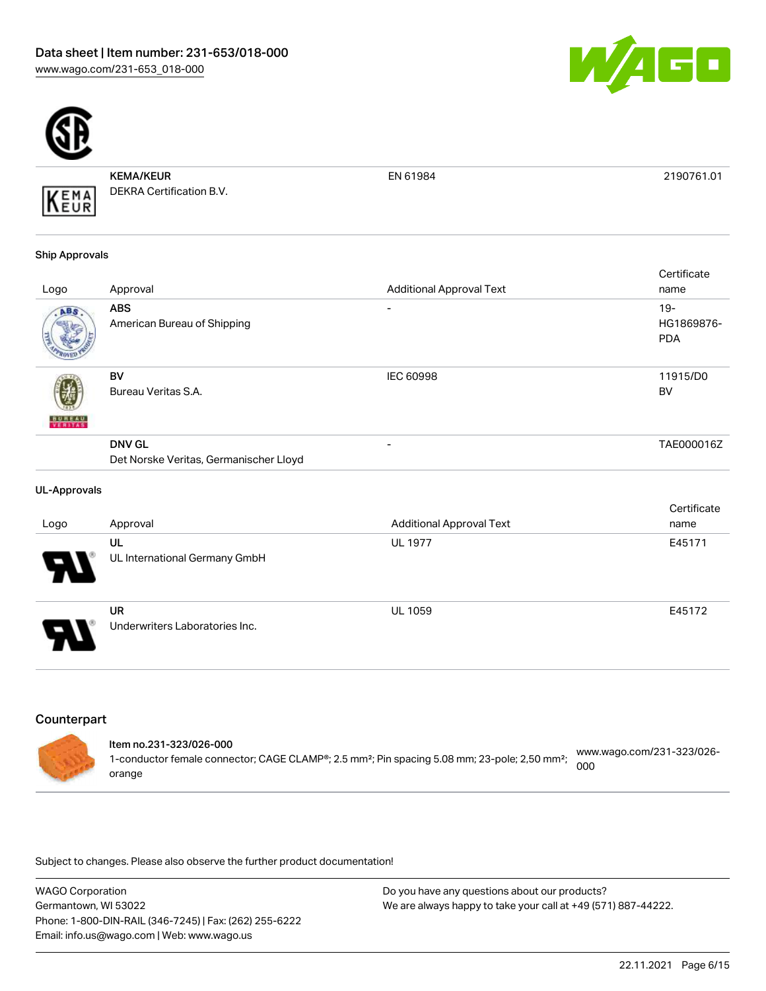



KEMA/KEUR DEKRA Certification B.V.

EN 61984 2190761.01

#### Ship Approvals

KEMA

|               |                                                         |                                 | Certificate                        |
|---------------|---------------------------------------------------------|---------------------------------|------------------------------------|
| Logo          | Approval                                                | <b>Additional Approval Text</b> | name                               |
| ABS.          | <b>ABS</b><br>American Bureau of Shipping               | ۰                               | $19 -$<br>HG1869876-<br><b>PDA</b> |
| <b>BUREAU</b> | BV<br>Bureau Veritas S.A.                               | <b>IEC 60998</b>                | 11915/D0<br><b>BV</b>              |
|               | <b>DNV GL</b><br>Det Norske Veritas, Germanischer Lloyd | ۰                               | TAE000016Z                         |

#### UL-Approvals

|                            |                                             |                                 | Certificate |
|----------------------------|---------------------------------------------|---------------------------------|-------------|
| Logo                       | Approval                                    | <b>Additional Approval Text</b> | name        |
| 8                          | UL<br>UL International Germany GmbH         | <b>UL 1977</b>                  | E45171      |
| $\boldsymbol{\mathcal{F}}$ | <b>UR</b><br>Underwriters Laboratories Inc. | <b>UL 1059</b>                  | E45172      |

# **Counterpart**

| ltem no.231-323/026-000<br>1-conductor female connector; CAGE CLAMP®; 2.5 mm <sup>2</sup> ; Pin spacing 5.08 mm; 23-pole; 2,50 mm <sup>2</sup> ; | www.wago.com/231-323/026-<br>000 |
|--------------------------------------------------------------------------------------------------------------------------------------------------|----------------------------------|
| orange                                                                                                                                           |                                  |

| <b>WAGO Corporation</b>                                | Do you have any questions about our products?                 |
|--------------------------------------------------------|---------------------------------------------------------------|
| Germantown, WI 53022                                   | We are always happy to take your call at +49 (571) 887-44222. |
| Phone: 1-800-DIN-RAIL (346-7245)   Fax: (262) 255-6222 |                                                               |
| Email: info.us@wago.com   Web: www.wago.us             |                                                               |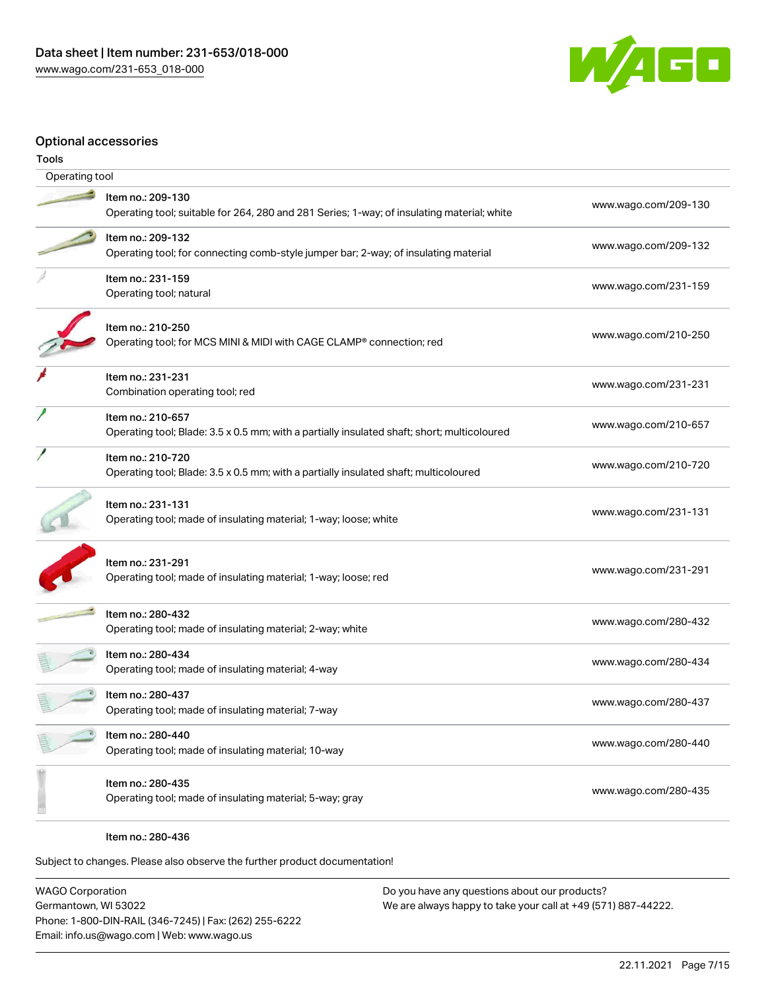

#### Optional accessories

| Tools |                                                                                                                  |                      |  |  |  |
|-------|------------------------------------------------------------------------------------------------------------------|----------------------|--|--|--|
|       | Operating tool                                                                                                   |                      |  |  |  |
|       | Item no.: 209-130<br>Operating tool; suitable for 264, 280 and 281 Series; 1-way; of insulating material; white  | www.wago.com/209-130 |  |  |  |
|       | Item no.: 209-132<br>Operating tool; for connecting comb-style jumper bar; 2-way; of insulating material         | www.wago.com/209-132 |  |  |  |
|       | Item no.: 231-159<br>Operating tool; natural                                                                     | www.wago.com/231-159 |  |  |  |
|       | Item no.: 210-250<br>Operating tool; for MCS MINI & MIDI with CAGE CLAMP® connection; red                        | www.wago.com/210-250 |  |  |  |
|       | Item no.: 231-231<br>Combination operating tool; red                                                             | www.wago.com/231-231 |  |  |  |
|       | Item no.: 210-657<br>Operating tool; Blade: 3.5 x 0.5 mm; with a partially insulated shaft; short; multicoloured | www.wago.com/210-657 |  |  |  |
|       | Item no.: 210-720<br>Operating tool; Blade: 3.5 x 0.5 mm; with a partially insulated shaft; multicoloured        | www.wago.com/210-720 |  |  |  |
|       | Item no.: 231-131<br>Operating tool; made of insulating material; 1-way; loose; white                            | www.wago.com/231-131 |  |  |  |
|       | Item no.: 231-291<br>Operating tool; made of insulating material; 1-way; loose; red                              | www.wago.com/231-291 |  |  |  |
|       | Item no.: 280-432<br>Operating tool; made of insulating material; 2-way; white                                   | www.wago.com/280-432 |  |  |  |
|       | Item no.: 280-434<br>Operating tool; made of insulating material; 4-way                                          | www.wago.com/280-434 |  |  |  |
|       | Item no.: 280-437<br>Operating tool; made of insulating material; 7-way                                          | www.wago.com/280-437 |  |  |  |
|       | Item no.: 280-440<br>Operating tool; made of insulating material; 10-way                                         | www.wago.com/280-440 |  |  |  |
|       | Item no.: 280-435<br>Operating tool; made of insulating material; 5-way; gray                                    | www.wago.com/280-435 |  |  |  |
|       |                                                                                                                  |                      |  |  |  |

Item no.: 280-436

Subject to changes. Please also observe the further product documentation!

WAGO Corporation Germantown, WI 53022 Phone: 1-800-DIN-RAIL (346-7245) | Fax: (262) 255-6222 Email: info.us@wago.com | Web: www.wago.us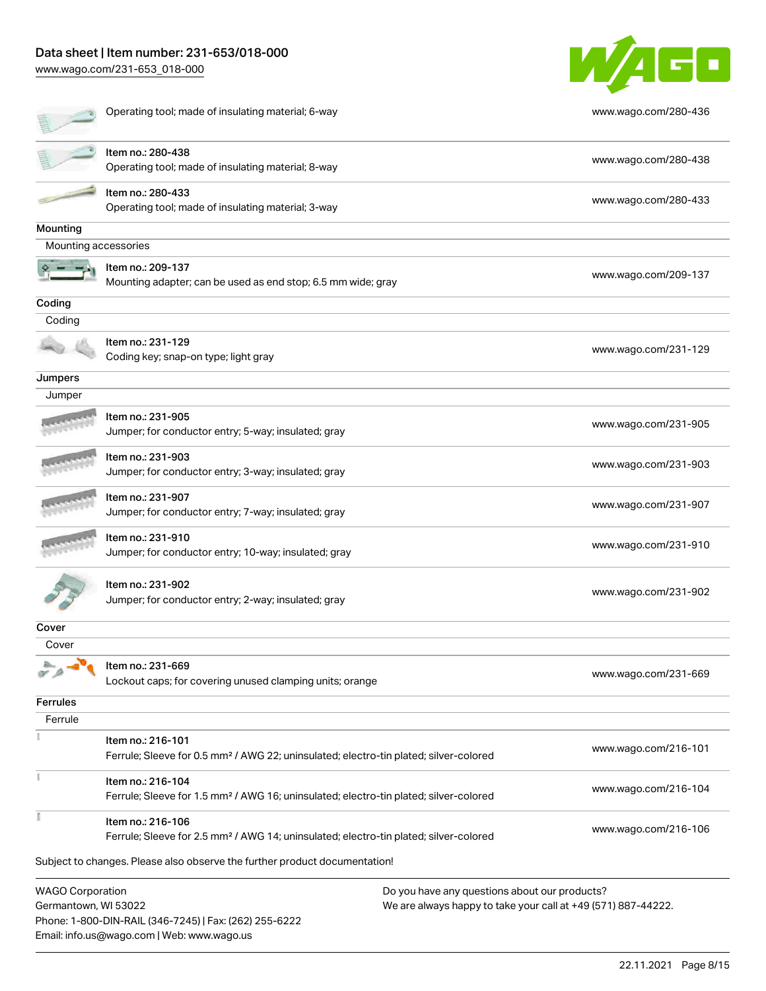# Data sheet | Item number: 231-653/018-000

Email: info.us@wago.com | Web: www.wago.us

[www.wago.com/231-653\\_018-000](http://www.wago.com/231-653_018-000)



|                                                 | Operating tool; made of insulating material; 6-way                                                                     | www.wago.com/280-436                                                                                           |
|-------------------------------------------------|------------------------------------------------------------------------------------------------------------------------|----------------------------------------------------------------------------------------------------------------|
|                                                 | Item no.: 280-438<br>Operating tool; made of insulating material; 8-way                                                | www.wago.com/280-438                                                                                           |
|                                                 | Item no.: 280-433<br>Operating tool; made of insulating material; 3-way                                                | www.wago.com/280-433                                                                                           |
| Mounting                                        |                                                                                                                        |                                                                                                                |
| Mounting accessories                            |                                                                                                                        |                                                                                                                |
|                                                 | Item no.: 209-137<br>Mounting adapter; can be used as end stop; 6.5 mm wide; gray                                      | www.wago.com/209-137                                                                                           |
| Coding                                          |                                                                                                                        |                                                                                                                |
| Coding                                          |                                                                                                                        |                                                                                                                |
|                                                 | Item no.: 231-129<br>Coding key; snap-on type; light gray                                                              | www.wago.com/231-129                                                                                           |
| Jumpers                                         |                                                                                                                        |                                                                                                                |
| Jumper                                          |                                                                                                                        |                                                                                                                |
|                                                 | Item no.: 231-905<br>Jumper; for conductor entry; 5-way; insulated; gray                                               | www.wago.com/231-905                                                                                           |
|                                                 | Item no.: 231-903<br>Jumper; for conductor entry; 3-way; insulated; gray                                               | www.wago.com/231-903                                                                                           |
|                                                 | Item no.: 231-907<br>Jumper; for conductor entry; 7-way; insulated; gray                                               | www.wago.com/231-907                                                                                           |
|                                                 | Item no.: 231-910<br>Jumper; for conductor entry; 10-way; insulated; gray                                              | www.wago.com/231-910                                                                                           |
|                                                 | Item no.: 231-902<br>Jumper; for conductor entry; 2-way; insulated; gray                                               | www.wago.com/231-902                                                                                           |
| Cover                                           |                                                                                                                        |                                                                                                                |
| Cover                                           |                                                                                                                        |                                                                                                                |
| $\alpha \geqslant$                              | <b>N</b> Item no.: 231-669<br>Lockout caps; for covering unused clamping units; orange                                 | www.wago.com/231-669                                                                                           |
| <b>Ferrules</b>                                 |                                                                                                                        |                                                                                                                |
| Ferrule                                         |                                                                                                                        |                                                                                                                |
|                                                 | Item no.: 216-101<br>Ferrule; Sleeve for 0.5 mm <sup>2</sup> / AWG 22; uninsulated; electro-tin plated; silver-colored | www.wago.com/216-101                                                                                           |
|                                                 | Item no.: 216-104<br>Ferrule; Sleeve for 1.5 mm <sup>2</sup> / AWG 16; uninsulated; electro-tin plated; silver-colored | www.wago.com/216-104                                                                                           |
|                                                 | Item no.: 216-106<br>Ferrule; Sleeve for 2.5 mm <sup>2</sup> / AWG 14; uninsulated; electro-tin plated; silver-colored | www.wago.com/216-106                                                                                           |
|                                                 | Subject to changes. Please also observe the further product documentation!                                             |                                                                                                                |
| <b>WAGO Corporation</b><br>Germantown, WI 53022 | Phone: 1-800-DIN-RAIL (346-7245)   Fax: (262) 255-6222                                                                 | Do you have any questions about our products?<br>We are always happy to take your call at +49 (571) 887-44222. |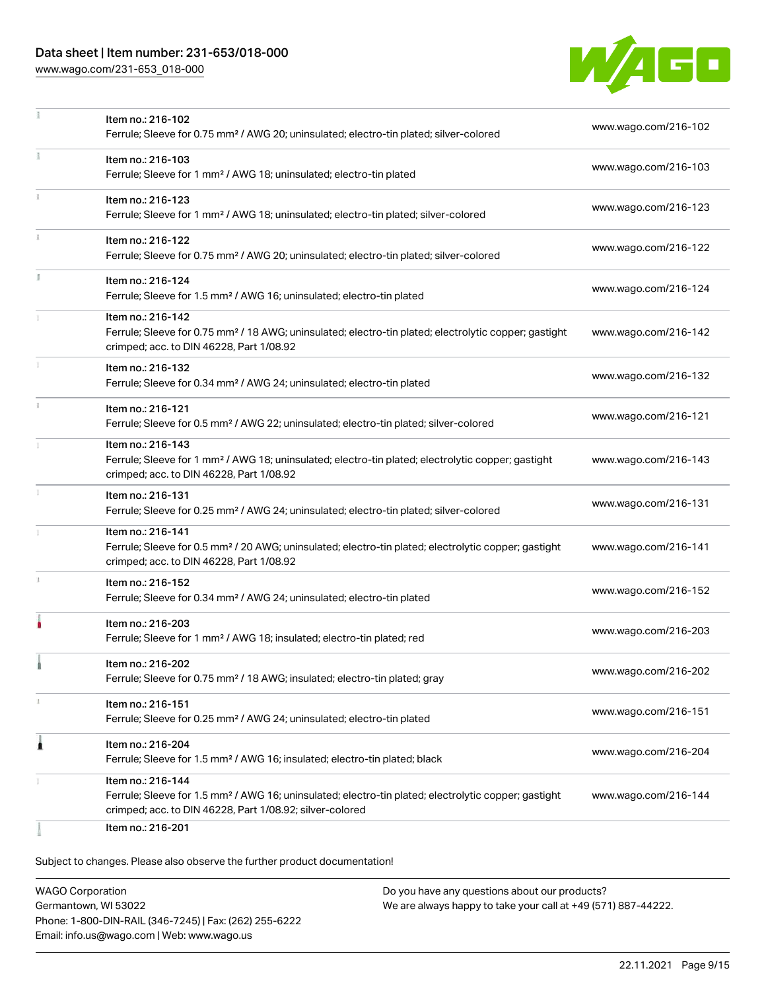# Data sheet | Item number: 231-653/018-000

[www.wago.com/231-653\\_018-000](http://www.wago.com/231-653_018-000)



|              | Item no.: 216-102                                                                                                                                                            |                      |
|--------------|------------------------------------------------------------------------------------------------------------------------------------------------------------------------------|----------------------|
|              | Ferrule; Sleeve for 0.75 mm <sup>2</sup> / AWG 20; uninsulated; electro-tin plated; silver-colored                                                                           | www.wago.com/216-102 |
|              | Item no.: 216-103                                                                                                                                                            |                      |
|              | Ferrule; Sleeve for 1 mm <sup>2</sup> / AWG 18; uninsulated; electro-tin plated                                                                                              | www.wago.com/216-103 |
| $\mathbf{1}$ | Item no.: 216-123                                                                                                                                                            |                      |
|              | Ferrule; Sleeve for 1 mm <sup>2</sup> / AWG 18; uninsulated; electro-tin plated; silver-colored                                                                              | www.wago.com/216-123 |
|              | Item no.: 216-122                                                                                                                                                            |                      |
|              | Ferrule; Sleeve for 0.75 mm <sup>2</sup> / AWG 20; uninsulated; electro-tin plated; silver-colored                                                                           | www.wago.com/216-122 |
| I.           | Item no.: 216-124                                                                                                                                                            |                      |
|              | Ferrule; Sleeve for 1.5 mm <sup>2</sup> / AWG 16; uninsulated; electro-tin plated                                                                                            | www.wago.com/216-124 |
|              | Item no.: 216-142                                                                                                                                                            |                      |
|              | Ferrule; Sleeve for 0.75 mm <sup>2</sup> / 18 AWG; uninsulated; electro-tin plated; electrolytic copper; gastight<br>crimped; acc. to DIN 46228, Part 1/08.92                | www.wago.com/216-142 |
|              | Item no.: 216-132                                                                                                                                                            |                      |
|              | Ferrule; Sleeve for 0.34 mm <sup>2</sup> / AWG 24; uninsulated; electro-tin plated                                                                                           | www.wago.com/216-132 |
|              | Item no.: 216-121                                                                                                                                                            |                      |
|              | Ferrule; Sleeve for 0.5 mm <sup>2</sup> / AWG 22; uninsulated; electro-tin plated; silver-colored                                                                            | www.wago.com/216-121 |
|              | Item no.: 216-143                                                                                                                                                            |                      |
|              | Ferrule; Sleeve for 1 mm <sup>2</sup> / AWG 18; uninsulated; electro-tin plated; electrolytic copper; gastight<br>crimped; acc. to DIN 46228, Part 1/08.92                   | www.wago.com/216-143 |
|              |                                                                                                                                                                              |                      |
|              | Item no.: 216-131<br>Ferrule; Sleeve for 0.25 mm <sup>2</sup> / AWG 24; uninsulated; electro-tin plated; silver-colored                                                      | www.wago.com/216-131 |
|              | Item no.: 216-141                                                                                                                                                            |                      |
|              | Ferrule; Sleeve for 0.5 mm <sup>2</sup> / 20 AWG; uninsulated; electro-tin plated; electrolytic copper; gastight                                                             | www.wago.com/216-141 |
|              | crimped; acc. to DIN 46228, Part 1/08.92                                                                                                                                     |                      |
|              | Item no.: 216-152<br>Ferrule; Sleeve for 0.34 mm <sup>2</sup> / AWG 24; uninsulated; electro-tin plated                                                                      | www.wago.com/216-152 |
|              |                                                                                                                                                                              |                      |
|              | Item no.: 216-203                                                                                                                                                            | www.wago.com/216-203 |
|              | Ferrule; Sleeve for 1 mm <sup>2</sup> / AWG 18; insulated; electro-tin plated; red                                                                                           |                      |
|              | Item no.: 216-202                                                                                                                                                            | www.wago.com/216-202 |
|              | Ferrule; Sleeve for 0.75 mm <sup>2</sup> / 18 AWG; insulated; electro-tin plated; gray                                                                                       |                      |
| ı            | Item no.: 216-151                                                                                                                                                            | www.wago.com/216-151 |
|              | Ferrule; Sleeve for 0.25 mm <sup>2</sup> / AWG 24; uninsulated; electro-tin plated                                                                                           |                      |
| 1            | Item no.: 216-204                                                                                                                                                            |                      |
|              | Ferrule; Sleeve for 1.5 mm <sup>2</sup> / AWG 16; insulated; electro-tin plated; black                                                                                       | www.wago.com/216-204 |
|              | Item no.: 216-144                                                                                                                                                            |                      |
|              | Ferrule; Sleeve for 1.5 mm <sup>2</sup> / AWG 16; uninsulated; electro-tin plated; electrolytic copper; gastight<br>crimped; acc. to DIN 46228, Part 1/08.92; silver-colored | www.wago.com/216-144 |
|              | Item no.: 216-201                                                                                                                                                            |                      |
|              |                                                                                                                                                                              |                      |

Subject to changes. Please also observe the further product documentation!

WAGO Corporation Germantown, WI 53022 Phone: 1-800-DIN-RAIL (346-7245) | Fax: (262) 255-6222 Email: info.us@wago.com | Web: www.wago.us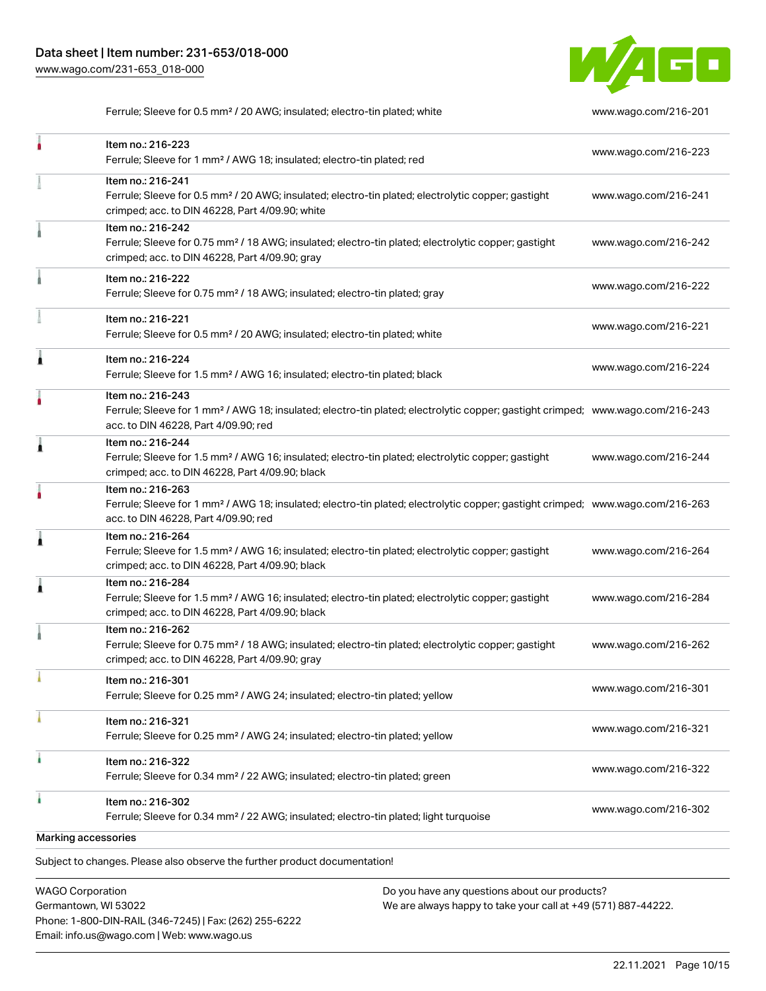

Ferrule; Sleeve for 0.5 mm² / 20 AWG; insulated; electro-tin plated; white [www.wago.com/216-201](http://www.wago.com/216-201)

|                     | Item no.: 216-223<br>Ferrule; Sleeve for 1 mm <sup>2</sup> / AWG 18; insulated; electro-tin plated; red                                                                                                 | www.wago.com/216-223 |
|---------------------|---------------------------------------------------------------------------------------------------------------------------------------------------------------------------------------------------------|----------------------|
|                     | Item no.: 216-241<br>Ferrule; Sleeve for 0.5 mm <sup>2</sup> / 20 AWG; insulated; electro-tin plated; electrolytic copper; gastight<br>crimped; acc. to DIN 46228, Part 4/09.90; white                  | www.wago.com/216-241 |
|                     | Item no.: 216-242<br>Ferrule; Sleeve for 0.75 mm <sup>2</sup> / 18 AWG; insulated; electro-tin plated; electrolytic copper; gastight<br>crimped; acc. to DIN 46228, Part 4/09.90; gray                  | www.wago.com/216-242 |
|                     | Item no.: 216-222<br>Ferrule; Sleeve for 0.75 mm <sup>2</sup> / 18 AWG; insulated; electro-tin plated; gray                                                                                             | www.wago.com/216-222 |
|                     | Item no.: 216-221<br>Ferrule; Sleeve for 0.5 mm <sup>2</sup> / 20 AWG; insulated; electro-tin plated; white                                                                                             | www.wago.com/216-221 |
| 1                   | Item no.: 216-224<br>Ferrule; Sleeve for 1.5 mm <sup>2</sup> / AWG 16; insulated; electro-tin plated; black                                                                                             | www.wago.com/216-224 |
|                     | Item no.: 216-243<br>Ferrule; Sleeve for 1 mm <sup>2</sup> / AWG 18; insulated; electro-tin plated; electrolytic copper; gastight crimped; www.wago.com/216-243<br>acc. to DIN 46228, Part 4/09.90; red |                      |
| Â                   | Item no.: 216-244<br>Ferrule; Sleeve for 1.5 mm <sup>2</sup> / AWG 16; insulated; electro-tin plated; electrolytic copper; gastight<br>crimped; acc. to DIN 46228, Part 4/09.90; black                  | www.wago.com/216-244 |
|                     | Item no.: 216-263<br>Ferrule; Sleeve for 1 mm <sup>2</sup> / AWG 18; insulated; electro-tin plated; electrolytic copper; gastight crimped; www.wago.com/216-263<br>acc. to DIN 46228, Part 4/09.90; red |                      |
| Â                   | Item no.: 216-264<br>Ferrule; Sleeve for 1.5 mm <sup>2</sup> / AWG 16; insulated; electro-tin plated; electrolytic copper; gastight<br>crimped; acc. to DIN 46228, Part 4/09.90; black                  | www.wago.com/216-264 |
| ٨                   | Item no.: 216-284<br>Ferrule; Sleeve for 1.5 mm <sup>2</sup> / AWG 16; insulated; electro-tin plated; electrolytic copper; gastight<br>crimped; acc. to DIN 46228, Part 4/09.90; black                  | www.wago.com/216-284 |
|                     | Item no.: 216-262<br>Ferrule; Sleeve for 0.75 mm <sup>2</sup> / 18 AWG; insulated; electro-tin plated; electrolytic copper; gastight<br>crimped; acc. to DIN 46228, Part 4/09.90; gray                  | www.wago.com/216-262 |
|                     | Item no.: 216-301<br>Ferrule; Sleeve for 0.25 mm <sup>2</sup> / AWG 24; insulated; electro-tin plated; yellow                                                                                           | www.wago.com/216-301 |
|                     | Item no.: 216-321<br>Ferrule; Sleeve for 0.25 mm <sup>2</sup> / AWG 24; insulated; electro-tin plated; yellow                                                                                           | www.wago.com/216-321 |
| ï                   | Item no.: 216-322<br>Ferrule; Sleeve for 0.34 mm <sup>2</sup> / 22 AWG; insulated; electro-tin plated; green                                                                                            | www.wago.com/216-322 |
| ۸                   | Item no.: 216-302<br>Ferrule; Sleeve for 0.34 mm <sup>2</sup> / 22 AWG; insulated; electro-tin plated; light turquoise                                                                                  | www.wago.com/216-302 |
| Marking accessories |                                                                                                                                                                                                         |                      |
|                     | Subject to changes. Please also observe the further product documentation!                                                                                                                              |                      |

WAGO Corporation Germantown, WI 53022 Phone: 1-800-DIN-RAIL (346-7245) | Fax: (262) 255-6222 Email: info.us@wago.com | Web: www.wago.us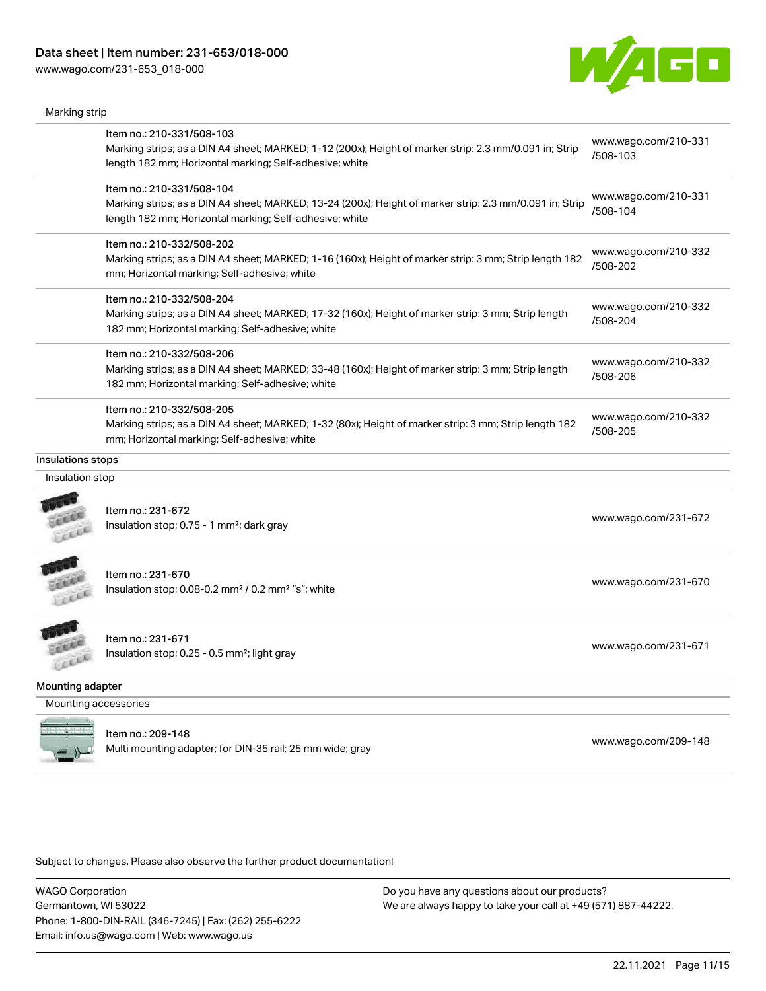[www.wago.com/231-653\\_018-000](http://www.wago.com/231-653_018-000)

Marking strip



|                      | Item no.: 210-331/508-103<br>Marking strips; as a DIN A4 sheet; MARKED; 1-12 (200x); Height of marker strip: 2.3 mm/0.091 in; Strip<br>length 182 mm; Horizontal marking; Self-adhesive; white  | www.wago.com/210-331<br>/508-103 |
|----------------------|-------------------------------------------------------------------------------------------------------------------------------------------------------------------------------------------------|----------------------------------|
|                      | Item no.: 210-331/508-104<br>Marking strips; as a DIN A4 sheet; MARKED; 13-24 (200x); Height of marker strip: 2.3 mm/0.091 in; Strip<br>length 182 mm; Horizontal marking; Self-adhesive; white | www.wago.com/210-331<br>/508-104 |
|                      | Item no.: 210-332/508-202<br>Marking strips; as a DIN A4 sheet; MARKED; 1-16 (160x); Height of marker strip: 3 mm; Strip length 182<br>mm; Horizontal marking; Self-adhesive; white             | www.wago.com/210-332<br>/508-202 |
|                      | Item no.: 210-332/508-204<br>Marking strips; as a DIN A4 sheet; MARKED; 17-32 (160x); Height of marker strip: 3 mm; Strip length<br>182 mm; Horizontal marking; Self-adhesive; white            | www.wago.com/210-332<br>/508-204 |
|                      | Item no.: 210-332/508-206<br>Marking strips; as a DIN A4 sheet; MARKED; 33-48 (160x); Height of marker strip: 3 mm; Strip length<br>182 mm; Horizontal marking; Self-adhesive; white            | www.wago.com/210-332<br>/508-206 |
|                      | Item no.: 210-332/508-205<br>Marking strips; as a DIN A4 sheet; MARKED; 1-32 (80x); Height of marker strip: 3 mm; Strip length 182<br>mm; Horizontal marking; Self-adhesive; white              | www.wago.com/210-332<br>/508-205 |
| nsulations stops     |                                                                                                                                                                                                 |                                  |
| Insulation stop      |                                                                                                                                                                                                 |                                  |
| Lecce                | Item no.: 231-672<br>Insulation stop; 0.75 - 1 mm <sup>2</sup> ; dark gray                                                                                                                      | www.wago.com/231-672             |
| Leece                | Item no.: 231-670<br>Insulation stop; 0.08-0.2 mm <sup>2</sup> / 0.2 mm <sup>2</sup> "s"; white                                                                                                 | www.wago.com/231-670             |
| LEEE                 | Item no.: 231-671<br>Insulation stop; 0.25 - 0.5 mm <sup>2</sup> ; light gray                                                                                                                   | www.wago.com/231-671             |
| Mounting adapter     |                                                                                                                                                                                                 |                                  |
| Mounting accessories |                                                                                                                                                                                                 |                                  |
|                      | Item no.: 209-148<br>Multi mounting adapter; for DIN-35 rail; 25 mm wide; gray                                                                                                                  | www.wago.com/209-148             |

Subject to changes. Please also observe the further product documentation!

WAGO Corporation Germantown, WI 53022 Phone: 1-800-DIN-RAIL (346-7245) | Fax: (262) 255-6222 Email: info.us@wago.com | Web: www.wago.us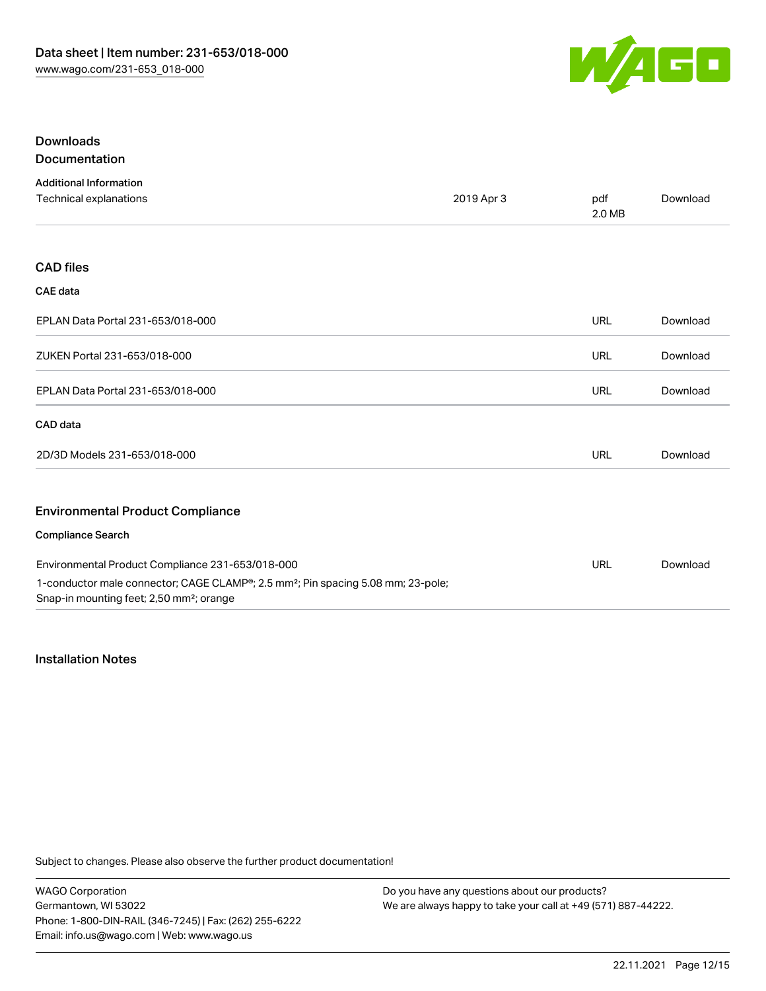

# Downloads Documentation

| <b>Additional Information</b>                                                                                                                        |            |               |          |
|------------------------------------------------------------------------------------------------------------------------------------------------------|------------|---------------|----------|
| Technical explanations                                                                                                                               | 2019 Apr 3 | pdf<br>2.0 MB | Download |
|                                                                                                                                                      |            |               |          |
| <b>CAD files</b>                                                                                                                                     |            |               |          |
| <b>CAE</b> data                                                                                                                                      |            |               |          |
| EPLAN Data Portal 231-653/018-000                                                                                                                    |            | <b>URL</b>    | Download |
| ZUKEN Portal 231-653/018-000                                                                                                                         |            | <b>URL</b>    | Download |
| EPLAN Data Portal 231-653/018-000                                                                                                                    |            | <b>URL</b>    | Download |
| CAD data                                                                                                                                             |            |               |          |
| 2D/3D Models 231-653/018-000                                                                                                                         |            | <b>URL</b>    | Download |
| <b>Environmental Product Compliance</b>                                                                                                              |            |               |          |
| <b>Compliance Search</b>                                                                                                                             |            |               |          |
| Environmental Product Compliance 231-653/018-000                                                                                                     |            | URL           | Download |
| 1-conductor male connector; CAGE CLAMP®; 2.5 mm <sup>2</sup> ; Pin spacing 5.08 mm; 23-pole;<br>Snap-in mounting feet; 2,50 mm <sup>2</sup> ; orange |            |               |          |

# Installation Notes

Subject to changes. Please also observe the further product documentation!

WAGO Corporation Germantown, WI 53022 Phone: 1-800-DIN-RAIL (346-7245) | Fax: (262) 255-6222 Email: info.us@wago.com | Web: www.wago.us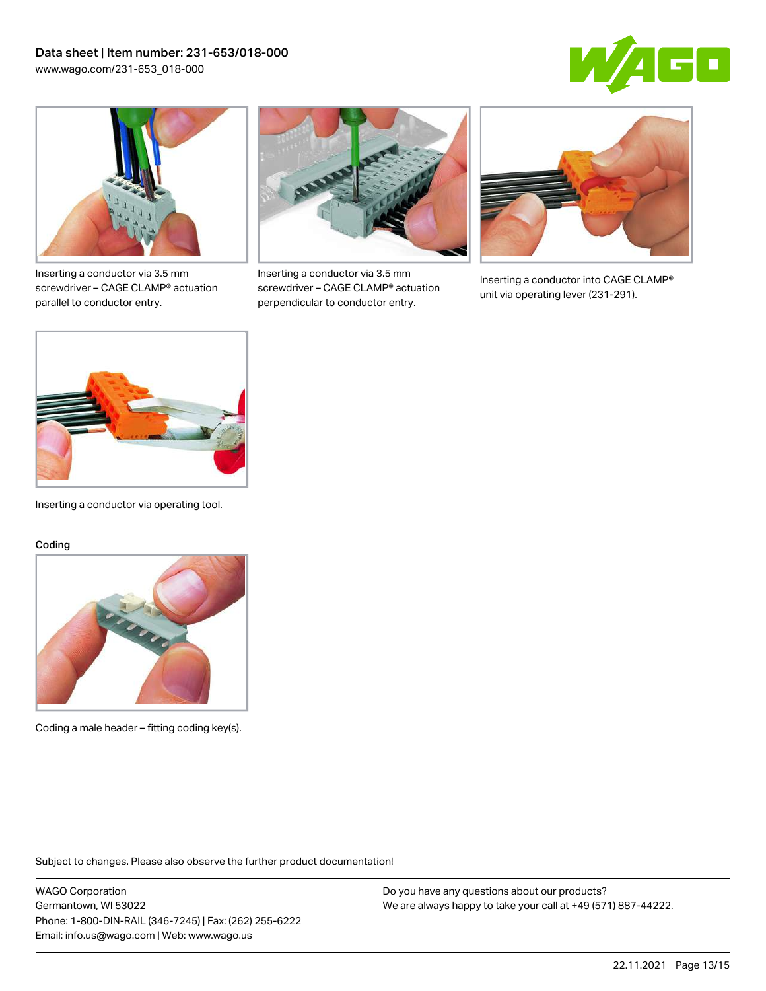



Inserting a conductor via 3.5 mm screwdriver – CAGE CLAMP® actuation parallel to conductor entry.



Inserting a conductor via 3.5 mm screwdriver – CAGE CLAMP® actuation perpendicular to conductor entry.



Inserting a conductor into CAGE CLAMP® unit via operating lever (231-291).



Inserting a conductor via operating tool.

#### Coding



Coding a male header – fitting coding key(s).

Subject to changes. Please also observe the further product documentation!

WAGO Corporation Germantown, WI 53022 Phone: 1-800-DIN-RAIL (346-7245) | Fax: (262) 255-6222 Email: info.us@wago.com | Web: www.wago.us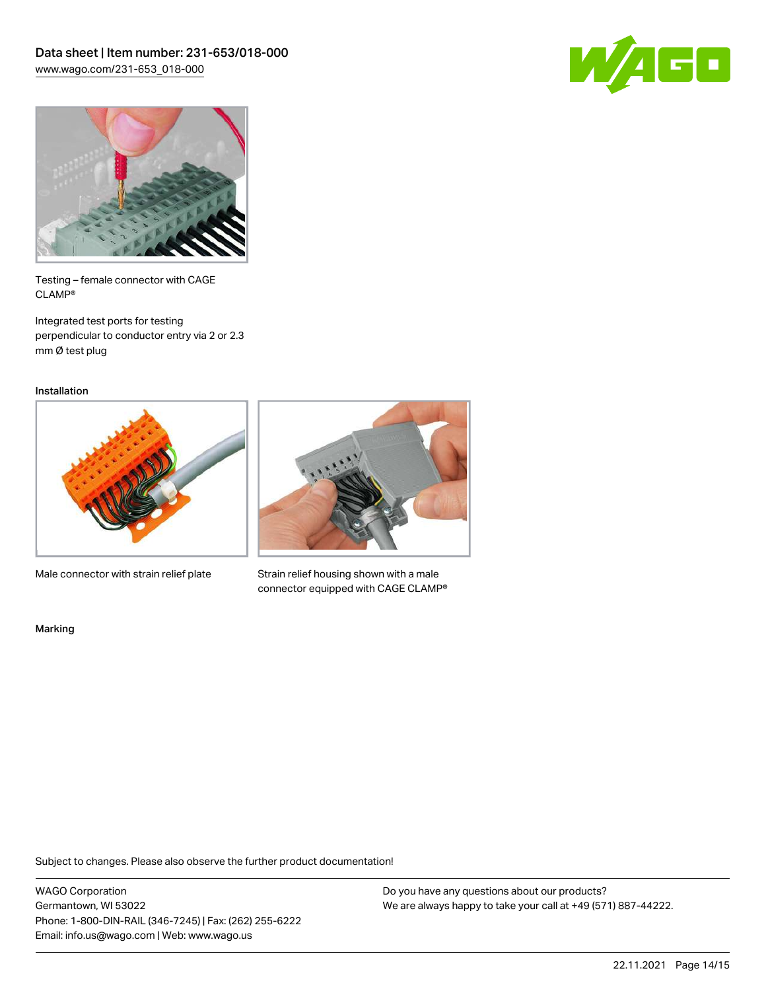



Testing – female connector with CAGE CLAMP®

Integrated test ports for testing perpendicular to conductor entry via 2 or 2.3 mm Ø test plug

Installation



Male connector with strain relief plate



Strain relief housing shown with a male connector equipped with CAGE CLAMP®

Marking

Subject to changes. Please also observe the further product documentation!

WAGO Corporation Germantown, WI 53022 Phone: 1-800-DIN-RAIL (346-7245) | Fax: (262) 255-6222 Email: info.us@wago.com | Web: www.wago.us